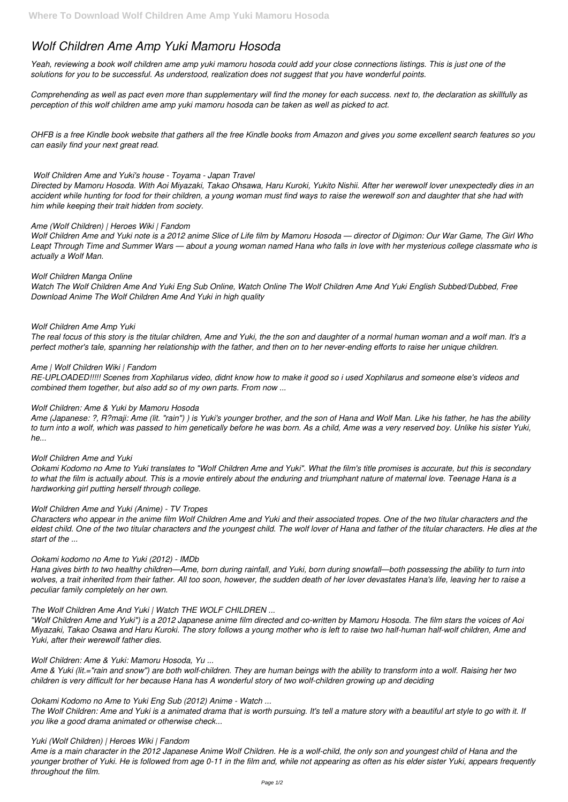# *Wolf Children Ame Amp Yuki Mamoru Hosoda*

*Yeah, reviewing a book wolf children ame amp yuki mamoru hosoda could add your close connections listings. This is just one of the solutions for you to be successful. As understood, realization does not suggest that you have wonderful points.*

*Comprehending as well as pact even more than supplementary will find the money for each success. next to, the declaration as skillfully as perception of this wolf children ame amp yuki mamoru hosoda can be taken as well as picked to act.*

*OHFB is a free Kindle book website that gathers all the free Kindle books from Amazon and gives you some excellent search features so you can easily find your next great read.*

# *Wolf Children Ame and Yuki's house - Toyama - Japan Travel*

*Directed by Mamoru Hosoda. With Aoi Miyazaki, Takao Ohsawa, Haru Kuroki, Yukito Nishii. After her werewolf lover unexpectedly dies in an accident while hunting for food for their children, a young woman must find ways to raise the werewolf son and daughter that she had with him while keeping their trait hidden from society.*

# *Ame (Wolf Children) | Heroes Wiki | Fandom*

*Wolf Children Ame and Yuki note is a 2012 anime Slice of Life film by Mamoru Hosoda — director of Digimon: Our War Game, The Girl Who Leapt Through Time and Summer Wars — about a young woman named Hana who falls in love with her mysterious college classmate who is actually a Wolf Man.*

# *Wolf Children Manga Online*

*Watch The Wolf Children Ame And Yuki Eng Sub Online, Watch Online The Wolf Children Ame And Yuki English Subbed/Dubbed, Free Download Anime The Wolf Children Ame And Yuki in high quality*

#### *Wolf Children Ame Amp Yuki*

*The real focus of this story is the titular children, Ame and Yuki, the the son and daughter of a normal human woman and a wolf man. It's a perfect mother's tale, spanning her relationship with the father, and then on to her never-ending efforts to raise her unique children.*

# *Ame | Wolf Children Wiki | Fandom*

*RE-UPLOADED!!!!! Scenes from Xophilarus video, didnt know how to make it good so i used Xophilarus and someone else's videos and combined them together, but also add so of my own parts. From now ...*

#### *Wolf Children: Ame & Yuki by Mamoru Hosoda*

*Ame (Japanese: ?, R?maji: Ame (lit. "rain") ) is Yuki's younger brother, and the son of Hana and Wolf Man. Like his father, he has the ability to turn into a wolf, which was passed to him genetically before he was born. As a child, Ame was a very reserved boy. Unlike his sister Yuki, he...*

#### *Wolf Children Ame and Yuki*

*Ookami Kodomo no Ame to Yuki translates to "Wolf Children Ame and Yuki". What the film's title promises is accurate, but this is secondary to what the film is actually about. This is a movie entirely about the enduring and triumphant nature of maternal love. Teenage Hana is a hardworking girl putting herself through college.*

#### *Wolf Children Ame and Yuki (Anime) - TV Tropes*

*Characters who appear in the anime film Wolf Children Ame and Yuki and their associated tropes. One of the two titular characters and the eldest child. One of the two titular characters and the youngest child. The wolf lover of Hana and father of the titular characters. He dies at the start of the ...*

#### *Ookami kodomo no Ame to Yuki (2012) - IMDb*

*Hana gives birth to two healthy children—Ame, born during rainfall, and Yuki, born during snowfall—both possessing the ability to turn into wolves, a trait inherited from their father. All too soon, however, the sudden death of her lover devastates Hana's life, leaving her to raise a peculiar family completely on her own.*

# *The Wolf Children Ame And Yuki | Watch THE WOLF CHILDREN ...*

*"Wolf Children Ame and Yuki") is a 2012 Japanese anime film directed and co-written by Mamoru Hosoda. The film stars the voices of Aoi Miyazaki, Takao Osawa and Haru Kuroki. The story follows a young mother who is left to raise two half-human half-wolf children, Ame and Yuki, after their werewolf father dies.*

#### *Wolf Children: Ame & Yuki: Mamoru Hosoda, Yu ...*

*Ame & Yuki (lit.="rain and snow") are both wolf-children. They are human beings with the ability to transform into a wolf. Raising her two children is very difficult for her because Hana has A wonderful story of two wolf-children growing up and deciding*

#### *Ookami Kodomo no Ame to Yuki Eng Sub (2012) Anime - Watch ...*

*The Wolf Children: Ame and Yuki is a animated drama that is worth pursuing. It's tell a mature story with a beautiful art style to go with it. If you like a good drama animated or otherwise check...*

#### *Yuki (Wolf Children) | Heroes Wiki | Fandom*

*Ame is a main character in the 2012 Japanese Anime Wolf Children. He is a wolf-child, the only son and youngest child of Hana and the younger brother of Yuki. He is followed from age 0-11 in the film and, while not appearing as often as his elder sister Yuki, appears frequently throughout the film.*